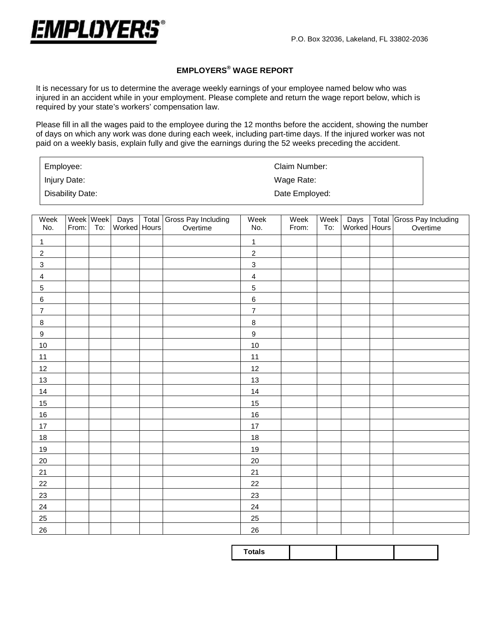

## **EMPLOYERS® WAGE REPORT**

It is necessary for us to determine the average weekly earnings of your employee named below who was injured in an accident while in your employment. Please complete and return the wage report below, which is required by your state's workers' compensation law.

Please fill in all the wages paid to the employee during the 12 months before the accident, showing the number of days on which any work was done during each week, including part-time days. If the injured worker was not paid on a weekly basis, explain fully and give the earnings during the 52 weeks preceding the accident.

| Employee:        | Claim Number:  |
|------------------|----------------|
| Injury Date:     | Wage Rate:     |
| Disability Date: | Date Employed: |

| Week             | Week Week |     | Days         | Total Gross Pay Including | Week             | Week  | Week | Days         | Total Gross Pay Including |
|------------------|-----------|-----|--------------|---------------------------|------------------|-------|------|--------------|---------------------------|
| No.              | From:     | To: | Worked Hours | Overtime                  | No.              | From: | To:  | Worked Hours | Overtime                  |
| 1                |           |     |              |                           | 1                |       |      |              |                           |
| $\sqrt{2}$       |           |     |              |                           | $\sqrt{2}$       |       |      |              |                           |
| $\mathbf{3}$     |           |     |              |                           | $\mathbf{3}$     |       |      |              |                           |
| $\overline{4}$   |           |     |              |                           | $\overline{4}$   |       |      |              |                           |
| 5                |           |     |              |                           | 5                |       |      |              |                           |
| $\,6\,$          |           |     |              |                           | $\,6\,$          |       |      |              |                           |
| $\overline{7}$   |           |     |              |                           | $\overline{7}$   |       |      |              |                           |
| $\bf 8$          |           |     |              |                           | $\bf 8$          |       |      |              |                           |
| $\boldsymbol{9}$ |           |     |              |                           | $\boldsymbol{9}$ |       |      |              |                           |
| 10               |           |     |              |                           | 10               |       |      |              |                           |
| 11               |           |     |              |                           | 11               |       |      |              |                           |
| 12               |           |     |              |                           | 12               |       |      |              |                           |
| 13               |           |     |              |                           | 13               |       |      |              |                           |
| 14               |           |     |              |                           | 14               |       |      |              |                           |
| 15               |           |     |              |                           | 15               |       |      |              |                           |
| 16               |           |     |              |                           | 16               |       |      |              |                           |
| $17\,$           |           |     |              |                           | $17\,$           |       |      |              |                           |
| 18               |           |     |              |                           | 18               |       |      |              |                           |
| 19               |           |     |              |                           | 19               |       |      |              |                           |
| 20               |           |     |              |                           | 20               |       |      |              |                           |
| 21               |           |     |              |                           | 21               |       |      |              |                           |
| 22               |           |     |              |                           | 22               |       |      |              |                           |
| 23               |           |     |              |                           | 23               |       |      |              |                           |
| 24               |           |     |              |                           | 24               |       |      |              |                           |
| $25\overline{)}$ |           |     |              |                           | 25               |       |      |              |                           |
| 26               |           |     |              |                           | 26               |       |      |              |                           |

|--|